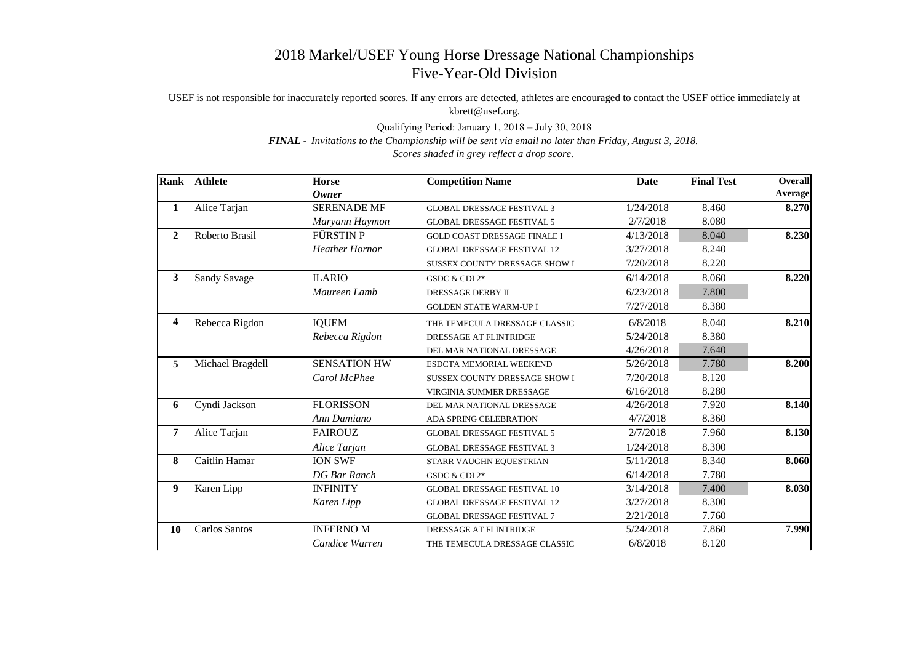## 2018 Markel/USEF Young Horse Dressage National Championships Five-Year-Old Division

USEF is not responsible for inaccurately reported scores. If any errors are detected, athletes are encouraged to contact the USEF office immediately at kbrett@usef.org.

Qualifying Period: January 1, 2018 – July 30, 2018

*FINAL - Invitations to the Championship will be sent via email no later than Friday, August 3, 2018.*

*Scores shaded in grey reflect a drop score.*

|                | Rank Athlete         | <b>Horse</b>          | <b>Competition Name</b>             | <b>Date</b> | <b>Final Test</b> | <b>Overall</b> |
|----------------|----------------------|-----------------------|-------------------------------------|-------------|-------------------|----------------|
|                |                      | <b>Owner</b>          |                                     |             |                   | <b>Average</b> |
| 1              | Alice Tarjan         | <b>SERENADE MF</b>    | <b>GLOBAL DRESSAGE FESTIVAL 3</b>   | 1/24/2018   | 8.460             | 8.270          |
|                |                      | Maryann Haymon        | <b>GLOBAL DRESSAGE FESTIVAL 5</b>   | 2/7/2018    | 8.080             |                |
| $\overline{2}$ | Roberto Brasil       | FÜRSTIN P             | <b>GOLD COAST DRESSAGE FINALE I</b> | 4/13/2018   | 8.040             | 8.230          |
|                |                      | <b>Heather Hornor</b> | <b>GLOBAL DRESSAGE FESTIVAL 12</b>  | 3/27/2018   | 8.240             |                |
|                |                      |                       | SUSSEX COUNTY DRESSAGE SHOW I       | 7/20/2018   | 8.220             |                |
| $\mathbf{3}$   | <b>Sandy Savage</b>  | <b>ILARIO</b>         | GSDC & CDI 2*                       | 6/14/2018   | 8.060             | 8.220          |
|                |                      | Maureen Lamb          | DRESSAGE DERBY II                   | 6/23/2018   | 7.800             |                |
|                |                      |                       | <b>GOLDEN STATE WARM-UP I</b>       | 7/27/2018   | 8.380             |                |
| 4              | Rebecca Rigdon       | <b>IQUEM</b>          | THE TEMECULA DRESSAGE CLASSIC       | 6/8/2018    | 8.040             | 8.210          |
|                |                      | Rebecca Rigdon        | DRESSAGE AT FLINTRIDGE              | 5/24/2018   | 8.380             |                |
|                |                      |                       | DEL MAR NATIONAL DRESSAGE           | 4/26/2018   | 7.640             |                |
| 5              | Michael Bragdell     | <b>SENSATION HW</b>   | ESDCTA MEMORIAL WEEKEND             | 5/26/2018   | 7.780             | 8.200          |
|                |                      | Carol McPhee          | SUSSEX COUNTY DRESSAGE SHOW I       | 7/20/2018   | 8.120             |                |
|                |                      |                       | VIRGINIA SUMMER DRESSAGE            | 6/16/2018   | 8.280             |                |
| 6              | Cyndi Jackson        | <b>FLORISSON</b>      | DEL MAR NATIONAL DRESSAGE           | 4/26/2018   | 7.920             | 8.140          |
|                |                      | Ann Damiano           | ADA SPRING CELEBRATION              | 4/7/2018    | 8.360             |                |
| 7              | Alice Tarjan         | <b>FAIROUZ</b>        | <b>GLOBAL DRESSAGE FESTIVAL 5</b>   | 2/7/2018    | 7.960             | 8.130          |
|                |                      | Alice Tarjan          | <b>GLOBAL DRESSAGE FESTIVAL 3</b>   | 1/24/2018   | 8.300             |                |
| 8              | Caitlin Hamar        | <b>ION SWF</b>        | STARR VAUGHN EQUESTRIAN             | 5/11/2018   | 8.340             | 8.060          |
|                |                      | <b>DG</b> Bar Ranch   | GSDC & CDI 2*                       | 6/14/2018   | 7.780             |                |
| 9              | Karen Lipp           | <b>INFINITY</b>       | <b>GLOBAL DRESSAGE FESTIVAL 10</b>  | 3/14/2018   | 7.400             | 8.030          |
|                |                      | Karen Lipp            | <b>GLOBAL DRESSAGE FESTIVAL 12</b>  | 3/27/2018   | 8.300             |                |
|                |                      |                       | <b>GLOBAL DRESSAGE FESTIVAL 7</b>   | 2/21/2018   | 7.760             |                |
| 10             | <b>Carlos Santos</b> | <b>INFERNO M</b>      | DRESSAGE AT FLINTRIDGE              | 5/24/2018   | 7.860             | 7.990          |
|                |                      | Candice Warren        | THE TEMECULA DRESSAGE CLASSIC       | 6/8/2018    | 8.120             |                |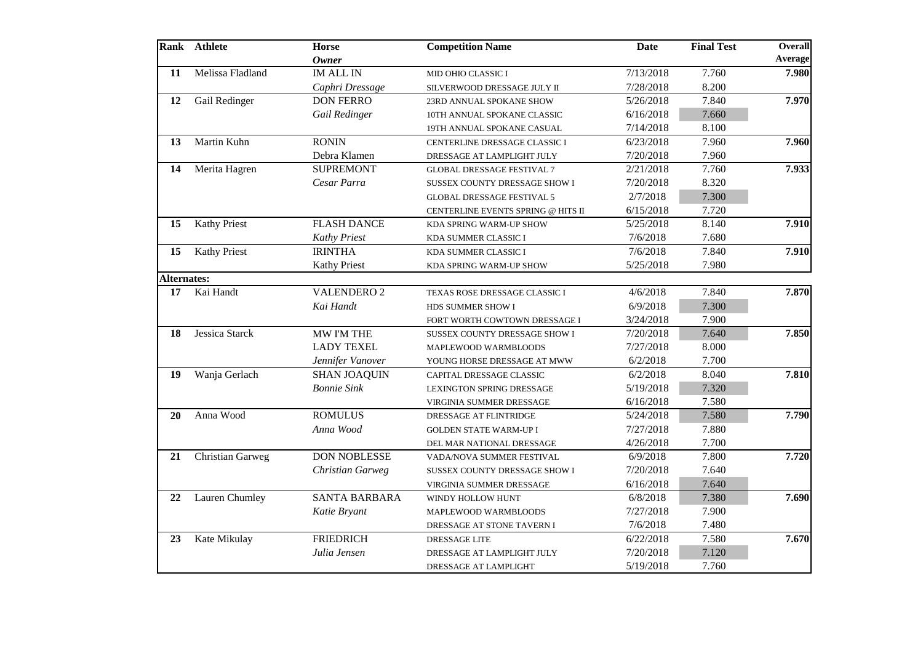|                    | Rank Athlete            | <b>Horse</b><br><b>Owner</b> | <b>Competition Name</b>            | <b>Date</b> | <b>Final Test</b> | <b>Overall</b><br><b>Average</b> |
|--------------------|-------------------------|------------------------------|------------------------------------|-------------|-------------------|----------------------------------|
| 11                 | Melissa Fladland        | <b>IM ALL IN</b>             | MID OHIO CLASSIC I                 | 7/13/2018   | 7.760             | 7.980                            |
|                    |                         | Caphri Dressage              | SILVERWOOD DRESSAGE JULY II        | 7/28/2018   | 8.200             |                                  |
| 12                 | Gail Redinger           | <b>DON FERRO</b>             | 23RD ANNUAL SPOKANE SHOW           | 5/26/2018   | 7.840             | 7.970                            |
|                    |                         | Gail Redinger                | 10TH ANNUAL SPOKANE CLASSIC        | 6/16/2018   | 7.660             |                                  |
|                    |                         |                              | 19TH ANNUAL SPOKANE CASUAL         | 7/14/2018   | 8.100             |                                  |
| 13                 | Martin Kuhn             | <b>RONIN</b>                 | CENTERLINE DRESSAGE CLASSIC I      | 6/23/2018   | 7.960             | 7.960                            |
|                    |                         | Debra Klamen                 | DRESSAGE AT LAMPLIGHT JULY         | 7/20/2018   | 7.960             |                                  |
| 14                 | Merita Hagren           | <b>SUPREMONT</b>             | <b>GLOBAL DRESSAGE FESTIVAL 7</b>  | 2/21/2018   | 7.760             | 7.933                            |
|                    |                         | Cesar Parra                  | SUSSEX COUNTY DRESSAGE SHOW I      | 7/20/2018   | 8.320             |                                  |
|                    |                         |                              | <b>GLOBAL DRESSAGE FESTIVAL 5</b>  | 2/7/2018    | 7.300             |                                  |
|                    |                         |                              | CENTERLINE EVENTS SPRING @ HITS II | 6/15/2018   | 7.720             |                                  |
| 15                 | <b>Kathy Priest</b>     | <b>FLASH DANCE</b>           | KDA SPRING WARM-UP SHOW            | 5/25/2018   | 8.140             | 7.910                            |
|                    |                         | <b>Kathy Priest</b>          | KDA SUMMER CLASSIC I               | 7/6/2018    | 7.680             |                                  |
| 15                 | <b>Kathy Priest</b>     | <b>IRINTHA</b>               | KDA SUMMER CLASSIC I               | 7/6/2018    | 7.840             | 7.910                            |
|                    |                         | <b>Kathy Priest</b>          | KDA SPRING WARM-UP SHOW            | 5/25/2018   | 7.980             |                                  |
| <b>Alternates:</b> |                         |                              |                                    |             |                   |                                  |
| 17                 | Kai Handt               | <b>VALENDERO 2</b>           | TEXAS ROSE DRESSAGE CLASSIC I      | 4/6/2018    | 7.840             | 7.870                            |
|                    |                         | Kai Handt                    | HDS SUMMER SHOW I                  | 6/9/2018    | 7.300             |                                  |
|                    |                         |                              | FORT WORTH COWTOWN DRESSAGE I      | 3/24/2018   | 7.900             |                                  |
| 18                 | Jessica Starck          | MW I'M THE                   | SUSSEX COUNTY DRESSAGE SHOW I      | 7/20/2018   | 7.640             | 7.850                            |
|                    |                         | <b>LADY TEXEL</b>            | MAPLEWOOD WARMBLOODS               | 7/27/2018   | 8.000             |                                  |
|                    |                         | Jennifer Vanover             | YOUNG HORSE DRESSAGE AT MWW        | 6/2/2018    | 7.700             |                                  |
| 19                 | Wanja Gerlach           | <b>SHAN JOAQUIN</b>          | CAPITAL DRESSAGE CLASSIC           | 6/2/2018    | 8.040             | 7.810                            |
|                    |                         | <b>Bonnie Sink</b>           | LEXINGTON SPRING DRESSAGE          | 5/19/2018   | 7.320             |                                  |
|                    |                         |                              | <b>VIRGINIA SUMMER DRESSAGE</b>    | 6/16/2018   | 7.580             |                                  |
| 20                 | Anna Wood               | <b>ROMULUS</b>               | DRESSAGE AT FLINTRIDGE             | 5/24/2018   | 7.580             | 7.790                            |
|                    |                         | Anna Wood                    | <b>GOLDEN STATE WARM-UP I</b>      | 7/27/2018   | 7.880             |                                  |
|                    |                         |                              | DEL MAR NATIONAL DRESSAGE          | 4/26/2018   | 7.700             |                                  |
| 21                 | <b>Christian Garweg</b> | <b>DON NOBLESSE</b>          | VADA/NOVA SUMMER FESTIVAL          | 6/9/2018    | 7.800             | 7.720                            |
|                    |                         | <b>Christian Garweg</b>      | SUSSEX COUNTY DRESSAGE SHOW I      | 7/20/2018   | 7.640             |                                  |
|                    |                         |                              | VIRGINIA SUMMER DRESSAGE           | 6/16/2018   | 7.640             |                                  |
| 22                 | Lauren Chumley          | <b>SANTA BARBARA</b>         | WINDY HOLLOW HUNT                  | 6/8/2018    | 7.380             | 7.690                            |
|                    |                         | Katie Bryant                 | MAPLEWOOD WARMBLOODS               | 7/27/2018   | 7.900             |                                  |
|                    |                         |                              | DRESSAGE AT STONE TAVERN I         | 7/6/2018    | 7.480             |                                  |
| 23                 | Kate Mikulay            | <b>FRIEDRICH</b>             | DRESSAGE LITE                      | 6/22/2018   | 7.580             | 7.670                            |
|                    |                         | Julia Jensen                 | DRESSAGE AT LAMPLIGHT JULY         | 7/20/2018   | 7.120             |                                  |
|                    |                         |                              | DRESSAGE AT LAMPLIGHT              | 5/19/2018   | 7.760             |                                  |